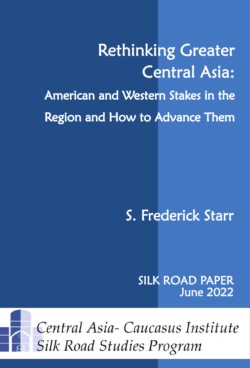Rethinking Greater Central Asia: American and Western Stakes in the Region and How to Advance Them

# S. Frederick Starr

SILK ROAD PAPER June 2022



Central Asia-Caucasus Institute **Silk Road Studies Program**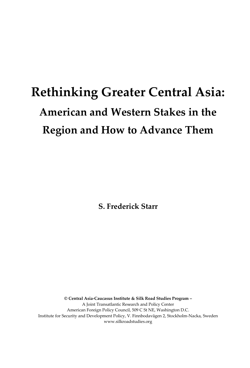# **Rethinking Greater Central Asia: American and Western Stakes in the Region and How to Advance Them**

**S. Frederick Starr**

**© Central Asia-Caucasus Institute & Silk Road Studies Program –** A Joint Transatlantic Research and Policy Center American Foreign Policy Council, 509 C St NE, Washington D.C. Institute for Security and Development Policy, V. Finnbodavägen 2, Stockholm-Nacka, Sweden www.silkroadstudies.org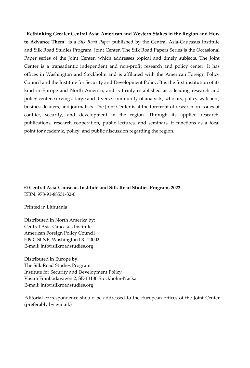"**Rethinking Greater Central Asia: American and Western Stakes in the Region and How to Advance Them**" is a *Silk Road Paper* published by the Central Asia-Caucasus Institute and Silk Road Studies Program, Joint Center. The Silk Road Papers Series is the Occasional Paper series of the Joint Center, which addresses topical and timely subjects. The Joint Center is a transatlantic independent and non-profit research and policy center. It has offices in Washington and Stockholm and is affiliated with the American Foreign Policy Council and the Institute for Security and Development Policy. It is the first institution of its kind in Europe and North America, and is firmly established as a leading research and policy center, serving a large and diverse community of analysts, scholars, policy-watchers, business leaders, and journalists. The Joint Center is at the forefront of research on issues of conflict, security, and development in the region. Through its applied research, publications, research cooperation, public lectures, and seminars, it functions as a focal point for academic, policy, and public discussion regarding the region.

**© Central Asia-Caucasus Institute and Silk Road Studies Program, 2022** ISBN: 978-91-88551-32-0

Printed in Lithuania

Distributed in North America by: Central Asia-Caucasus Institute American Foreign Policy Council 509 C St NE, Washington DC 20002 E-mail: info@silkroadstudies.org

Distributed in Europe by: The Silk Road Studies Program Institute for Security and Development Policy Västra Finnbodavägen 2, SE-13130 Stockholm-Nacka E-mail: info@silkroadstudies.org

Editorial correspondence should be addressed to the European offices of the Joint Center (preferably by e-mail.)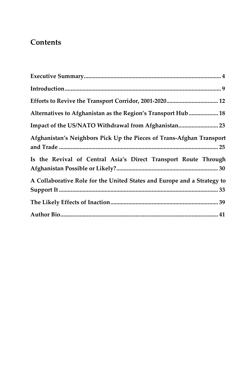## **Contents**

| Alternatives to Afghanistan as the Region's Transport Hub 18            |
|-------------------------------------------------------------------------|
|                                                                         |
| Afghanistan's Neighbors Pick Up the Pieces of Trans-Afghan Transport    |
| Is the Revival of Central Asia's Direct Transport Route Through         |
| A Collaborative Role for the United States and Europe and a Strategy to |
|                                                                         |
|                                                                         |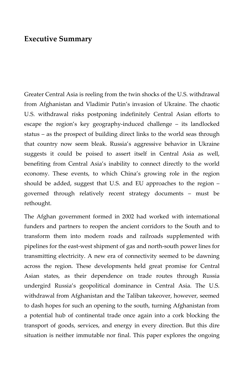#### <span id="page-5-0"></span>**Executive Summary**

Greater Central Asia is reeling from the twin shocks of the U.S. withdrawal from Afghanistan and Vladimir Putin's invasion of Ukraine. The chaotic U.S. withdrawal risks postponing indefinitely Central Asian efforts to escape the region's key geography-induced challenge – its landlocked status – as the prospect of building direct links to the world seas through that country now seem bleak. Russia's aggressive behavior in Ukraine suggests it could be poised to assert itself in Central Asia as well, benefiting from Central Asia's inability to connect directly to the world economy. These events, to which China's growing role in the region should be added, suggest that U.S. and EU approaches to the region – governed through relatively recent strategy documents – must be rethought.

The Afghan government formed in 2002 had worked with international funders and partners to reopen the ancient corridors to the South and to transform them into modern roads and railroads supplemented with pipelines for the east-west shipment of gas and north-south power lines for transmitting electricity. A new era of connectivity seemed to be dawning across the region. These developments held great promise for Central Asian states, as their dependence on trade routes through Russia undergird Russia's geopolitical dominance in Central Asia. The U.S. withdrawal from Afghanistan and the Taliban takeover, however, seemed to dash hopes for such an opening to the south, turning Afghanistan from a potential hub of continental trade once again into a cork blocking the transport of goods, services, and energy in every direction. But this dire situation is neither immutable nor final. This paper explores the ongoing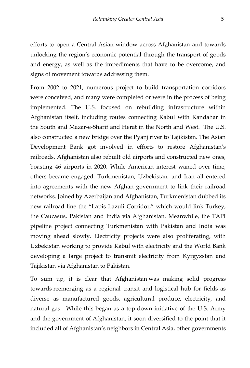efforts to open a Central Asian window across Afghanistan and towards unlocking the region's economic potential through the transport of goods and energy, as well as the impediments that have to be overcome, and signs of movement towards addressing them.

From 2002 to 2021, numerous project to build transportation corridors were conceived, and many were completed or were in the process of being implemented. The U.S. focused on rebuilding infrastructure within Afghanistan itself, including routes connecting Kabul with Kandahar in the South and Mazar-e-Sharif and Herat in the North and West. The U.S. also constructed a new bridge over the Pyanj river to Tajikistan. The Asian Development Bank got involved in efforts to restore Afghanistan's railroads. Afghanistan also rebuilt old airports and constructed new ones, boasting 46 airports in 2020. While American interest waned over time, others became engaged. Turkmenistan, Uzbekistan, and Iran all entered into agreements with the new Afghan government to link their railroad networks. Joined by Azerbaijan and Afghanistan, Turkmenistan dubbed its new railroad line the "Lapis Lazuli Corridor," which would link Turkey, the Caucasus, Pakistan and India via Afghanistan. Meanwhile, the TAPI pipeline project connecting Turkmenistan with Pakistan and India was moving ahead slowly. Electricity projects were also proliferating, with Uzbekistan working to provide Kabul with electricity and the World Bank developing a large project to transmit electricity from Kyrgyzstan and Tajikistan via Afghanistan to Pakistan.

To sum up, it is clear that Afghanistan was making solid progress towards reemerging as a regional transit and logistical hub for fields as diverse as manufactured goods, agricultural produce, electricity, and natural gas. While this began as a top-down initiative of the U.S. Army and the government of Afghanistan, it soon diversified to the point that it included all of Afghanistan's neighbors in Central Asia, other governments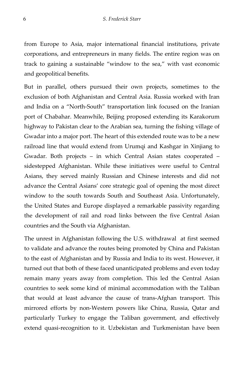from Europe to Asia, major international financial institutions, private corporations, and entrepreneurs in many fields. The entire region was on track to gaining a sustainable "window to the sea," with vast economic and geopolitical benefits.

But in parallel, others pursued their own projects, sometimes to the exclusion of both Afghanistan and Central Asia. Russia worked with Iran and India on a "North-South" transportation link focused on the Iranian port of Chabahar. Meanwhile, Beijing proposed extending its Karakorum highway to Pakistan clear to the Arabian sea, turning the fishing village of Gwadar into a major port. The heart of this extended route was to be a new railroad line that would extend from Urumqi and Kashgar in Xinjiang to Gwadar. Both projects – in which Central Asian states cooperated – sidestepped Afghanistan. While these initiatives were useful to Central Asians, they served mainly Russian and Chinese interests and did not advance the Central Asians' core strategic goal of opening the most direct window to the south towards South and Southeast Asia. Unfortunately, the United States and Europe displayed a remarkable passivity regarding the development of rail and road links between the five Central Asian countries and the South via Afghanistan.

The unrest in Afghanistan following the U.S. withdrawal at first seemed to validate and advance the routes being promoted by China and Pakistan to the east of Afghanistan and by Russia and India to its west. However, it turned out that both of these faced unanticipated problems and even today remain many years away from completion. This led the Central Asian countries to seek some kind of minimal accommodation with the Taliban that would at least advance the cause of trans-Afghan transport. This mirrored efforts by non-Western powers like China, Russia, Qatar and particularly Turkey to engage the Taliban government, and effectively extend quasi-recognition to it. Uzbekistan and Turkmenistan have been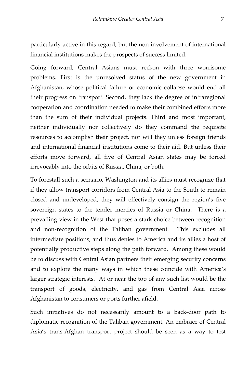particularly active in this regard, but the non-involvement of international financial institutions makes the prospects of success limited.

Going forward, Central Asians must reckon with three worrisome problems. First is the unresolved status of the new government in Afghanistan, whose political failure or economic collapse would end all their progress on transport. Second, they lack the degree of intraregional cooperation and coordination needed to make their combined efforts more than the sum of their individual projects. Third and most important, neither individually nor collectively do they command the requisite resources to accomplish their project, nor will they unless foreign friends and international financial institutions come to their aid. But unless their efforts move forward, all five of Central Asian states may be forced irrevocably into the orbits of Russia, China, or both.

To forestall such a scenario, Washington and its allies must recognize that if they allow transport corridors from Central Asia to the South to remain closed and undeveloped, they will effectively consign the region's five sovereign states to the tender mercies of Russia or China. There is a prevailing view in the West that poses a stark choice between recognition and non-recognition of the Taliban government. This excludes all intermediate positions, and thus denies to America and its allies a host of potentially productive steps along the path forward. Among these would be to discuss with Central Asian partners their emerging security concerns and to explore the many ways in which these coincide with America's larger strategic interests. At or near the top of any such list would be the transport of goods, electricity, and gas from Central Asia across Afghanistan to consumers or ports further afield.

Such initiatives do not necessarily amount to a back-door path to diplomatic recognition of the Taliban government. An embrace of Central Asia's trans-Afghan transport project should be seen as a way to test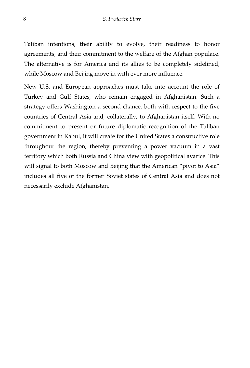Taliban intentions, their ability to evolve, their readiness to honor agreements, and their commitment to the welfare of the Afghan populace. The alternative is for America and its allies to be completely sidelined, while Moscow and Beijing move in with ever more influence.

New U.S. and European approaches must take into account the role of Turkey and Gulf States, who remain engaged in Afghanistan. Such a strategy offers Washington a second chance, both with respect to the five countries of Central Asia and, collaterally, to Afghanistan itself. With no commitment to present or future diplomatic recognition of the Taliban government in Kabul, it will create for the United States a constructive role throughout the region, thereby preventing a power vacuum in a vast territory which both Russia and China view with geopolitical avarice. This will signal to both Moscow and Beijing that the American "pivot to Asia" includes all five of the former Soviet states of Central Asia and does not necessarily exclude Afghanistan.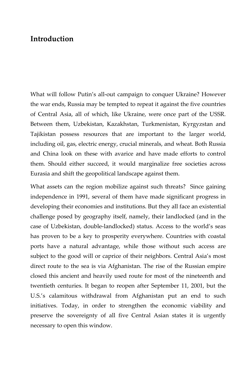### <span id="page-10-0"></span>**Introduction**

What will follow Putin's all-out campaign to conquer Ukraine? However the war ends, Russia may be tempted to repeat it against the five countries of Central Asia, all of which, like Ukraine, were once part of the USSR. Between them, Uzbekistan, Kazakhstan, Turkmenistan, Kyrgyzstan and Tajikistan possess resources that are important to the larger world, including oil, gas, electric energy, crucial minerals, and wheat. Both Russia and China look on these with avarice and have made efforts to control them. Should either succeed, it would marginalize free societies across Eurasia and shift the geopolitical landscape against them.

What assets can the region mobilize against such threats? Since gaining independence in 1991, several of them have made significant progress in developing their economies and institutions. But they all face an existential challenge posed by geography itself, namely, their landlocked (and in the case of Uzbekistan, double-landlocked) status. Access to the world's seas has proven to be a key to prosperity everywhere. Countries with coastal ports have a natural advantage, while those without such access are subject to the good will or caprice of their neighbors. Central Asia's most direct route to the sea is via Afghanistan. The rise of the Russian empire closed this ancient and heavily used route for most of the nineteenth and twentieth centuries. It began to reopen after September 11, 2001, but the U.S.'s calamitous withdrawal from Afghanistan put an end to such initiatives. Today, in order to strengthen the economic viability and preserve the sovereignty of all five Central Asian states it is urgently necessary to open this window.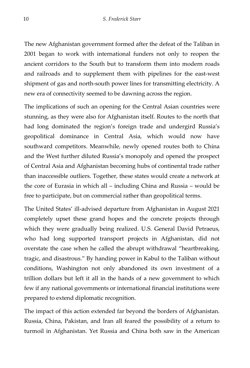The new Afghanistan government formed after the defeat of the Taliban in 2001 began to work with international funders not only to reopen the ancient corridors to the South but to transform them into modern roads and railroads and to supplement them with pipelines for the east-west shipment of gas and north-south power lines for transmitting electricity. A new era of connectivity seemed to be dawning across the region.

The implications of such an opening for the Central Asian countries were stunning, as they were also for Afghanistan itself. Routes to the north that had long dominated the region's foreign trade and undergird Russia's geopolitical dominance in Central Asia, which would now have southward competitors. Meanwhile, newly opened routes both to China and the West further diluted Russia's monopoly and opened the prospect of Central Asia and Afghanistan becoming hubs of continental trade rather than inaccessible outliers. Together, these states would create a network at the core of Eurasia in which all – including China and Russia – would be free to participate, but on commercial rather than geopolitical terms.

The United States' ill-advised departure from Afghanistan in August 2021 completely upset these grand hopes and the concrete projects through which they were gradually being realized. U.S. General David Petraeus, who had long supported transport projects in Afghanistan, did not overstate the case when he called the abrupt withdrawal "heartbreaking, tragic, and disastrous." By handing power in Kabul to the Taliban without conditions, Washington not only abandoned its own investment of a trillion dollars but left it all in the hands of a new government to which few if any national governments or international financial institutions were prepared to extend diplomatic recognition.

The impact of this action extended far beyond the borders of Afghanistan. Russia, China, Pakistan, and Iran all feared the possibility of a return to turmoil in Afghanistan. Yet Russia and China both saw in the American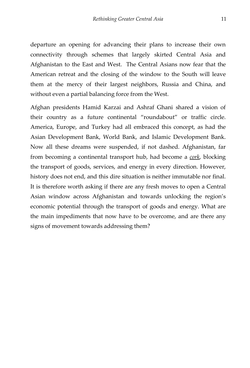departure an opening for advancing their plans to increase their own connectivity through schemes that largely skirted Central Asia and Afghanistan to the East and West. The Central Asians now fear that the American retreat and the closing of the window to the South will leave them at the mercy of their largest neighbors, Russia and China, and without even a partial balancing force from the West.

Afghan presidents Hamid Karzai and Ashraf Ghani shared a vision of their country as a future continental "roundabout" or traffic circle. America, Europe, and Turkey had all embraced this concept, as had the Asian Development Bank, World Bank, and Islamic Development Bank. Now all these dreams were suspended, if not dashed. Afghanistan, far from becoming a continental transport hub, had become a *cork*, blocking the transport of goods, services, and energy in every direction. However, history does not end, and this dire situation is neither immutable nor final. It is therefore worth asking if there are any fresh moves to open a Central Asian window across Afghanistan and towards unlocking the region's economic potential through the transport of goods and energy. What are the main impediments that now have to be overcome, and are there any signs of movement towards addressing them?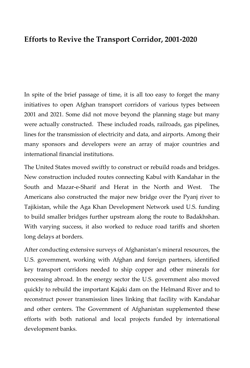## <span id="page-13-0"></span>**Efforts to Revive the Transport Corridor, 2001-2020**

In spite of the brief passage of time, it is all too easy to forget the many initiatives to open Afghan transport corridors of various types between 2001 and 2021. Some did not move beyond the planning stage but many were actually constructed. These included roads, railroads, gas pipelines, lines for the transmission of electricity and data, and airports. Among their many sponsors and developers were an array of major countries and international financial institutions.

The United States moved swiftly to construct or rebuild roads and bridges. New construction included routes connecting Kabul with Kandahar in the South and Mazar-e-Sharif and Herat in the North and West. The Americans also constructed the major new bridge over the Pyanj river to Tajikistan, while the Aga Khan Development Network used U.S. funding to build smaller bridges further upstream along the route to Badakhshan. With varying success, it also worked to reduce road tariffs and shorten long delays at borders.

After conducting extensive surveys of Afghanistan's mineral resources, the U.S. government, working with Afghan and foreign partners, identified key transport corridors needed to ship copper and other minerals for processing abroad. In the energy sector the U.S. government also moved quickly to rebuild the important Kajaki dam on the Helmand River and to reconstruct power transmission lines linking that facility with Kandahar and other centers. The Government of Afghanistan supplemented these efforts with both national and local projects funded by international development banks.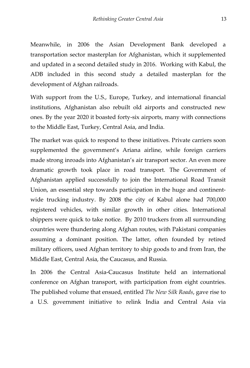Meanwhile, in 2006 the Asian Development Bank developed a transportation sector masterplan for Afghanistan, which it supplemented and updated in a second detailed study in 2016. Working with Kabul, the ADB included in this second study a detailed masterplan for the development of Afghan railroads.

With support from the U.S., Europe, Turkey, and international financial institutions, Afghanistan also rebuilt old airports and constructed new ones. By the year 2020 it boasted forty-six airports, many with connections to the Middle East, Turkey, Central Asia, and India.

The market was quick to respond to these initiatives. Private carriers soon supplemented the government's Ariana airline, while foreign carriers made strong inroads into Afghanistan's air transport sector. An even more dramatic growth took place in road transport. The Government of Afghanistan applied successfully to join the International Road Transit Union, an essential step towards participation in the huge and continentwide trucking industry. By 2008 the city of Kabul alone had 700,000 registered vehicles, with similar growth in other cities. International shippers were quick to take notice. By 2010 truckers from all surrounding countries were thundering along Afghan routes, with Pakistani companies assuming a dominant position. The latter, often founded by retired military officers, used Afghan territory to ship goods to and from Iran, the Middle East, Central Asia, the Caucasus, and Russia.

In 2006 the Central Asia-Caucasus Institute held an international conference on Afghan transport, with participation from eight countries. The published volume that ensued, entitled *The New Silk Roads*, gave rise to a U.S. government initiative to relink India and Central Asia via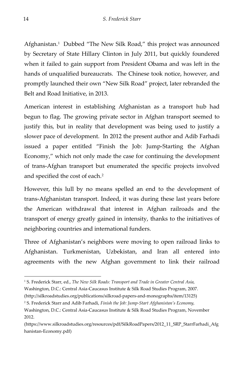Afghanistan.[1](#page-15-0) Dubbed "The New Silk Road," this project was announced by Secretary of State Hillary Clinton in July 2011, but quickly foundered when it failed to gain support from President Obama and was left in the hands of unqualified bureaucrats. The Chinese took notice, however, and promptly launched their own "New Silk Road" project, later rebranded the Belt and Road Initiative, in 2013.

American interest in establishing Afghanistan as a transport hub had begun to flag. The growing private sector in Afghan transport seemed to justify this, but in reality that development was being used to justify a slower pace of development. In 2012 the present author and Adib Farhadi issued a paper entitled "Finish the Job: Jump-Starting the Afghan Economy," which not only made the case for continuing the development of trans-Afghan transport but enumerated the specific projects involved and specified the cost of each.[2](#page-15-1) 

However, this lull by no means spelled an end to the development of trans-Afghanistan transport. Indeed, it was during these last years before the American withdrawal that interest in Afghan railroads and the transport of energy greatly gained in intensity, thanks to the initiatives of neighboring countries and international funders.

Three of Afghanistan's neighbors were moving to open railroad links to Afghanistan. Turkmenistan, Uzbekistan, and Iran all entered into agreements with the new Afghan government to link their railroad

<span id="page-15-0"></span><sup>1</sup> S. Frederick Starr, ed., *The New Silk Roads: Transport and Trade in Greater Central Asia,*

Washington, D.C.: Central Asia-Caucasus Institute & Silk Road Studies Program, 2007.

<sup>(</sup>http://silkroadstudies.org/publications/silkroad-papers-and-monographs/item/13125)

<span id="page-15-1"></span><sup>2</sup> S. Frederick Starr and Adib Farhadi, *Finish the Job: Jump-Start Afghanistan's Economy,*

Washington, D.C.: Central Asia-Caucasus Institute & Silk Road Studies Program, November 2012.

<sup>(</sup>https://www.silkroadstudies.org/resources/pdf/SilkRoadPapers/2012\_11\_SRP\_StarrFarhadi\_Afg hanistan-Economy.pdf)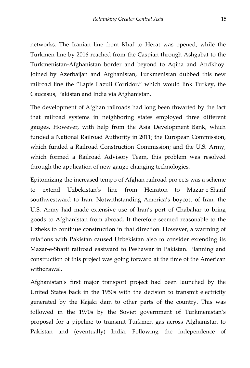networks. The Iranian line from Khaf to Herat was opened, while the Turkmen line by 2016 reached from the Caspian through Ashgabat to the Turkmenistan-Afghanistan border and beyond to Aqina and Andkhoy. Joined by Azerbaijan and Afghanistan, Turkmenistan dubbed this new railroad line the "Lapis Lazuli Corridor," which would link Turkey, the Caucasus, Pakistan and India via Afghanistan.

The development of Afghan railroads had long been thwarted by the fact that railroad systems in neighboring states employed three different gauges. However, with help from the Asia Development Bank, which funded a National Railroad Authority in 2011; the European Commission, which funded a Railroad Construction Commission; and the U.S. Army, which formed a Railroad Advisory Team, this problem was resolved through the application of new gauge-changing technologies.

Epitomizing the increased tempo of Afghan railroad projects was a scheme to extend Uzbekistan's line from Heiraton to Mazar-e-Sharif southwestward to Iran. Notwithstanding America's boycott of Iran, the U.S. Army had made extensive use of Iran's port of Chabahar to bring goods to Afghanistan from abroad. It therefore seemed reasonable to the Uzbeks to continue construction in that direction. However, a warming of relations with Pakistan caused Uzbekistan also to consider extending its Mazar-e-Sharif railroad eastward to Peshawar in Pakistan. Planning and construction of this project was going forward at the time of the American withdrawal.

Afghanistan's first major transport project had been launched by the United States back in the 1950s with the decision to transmit electricity generated by the Kajaki dam to other parts of the country. This was followed in the 1970s by the Soviet government of Turkmenistan's proposal for a pipeline to transmit Turkmen gas across Afghanistan to Pakistan and (eventually) India. Following the independence of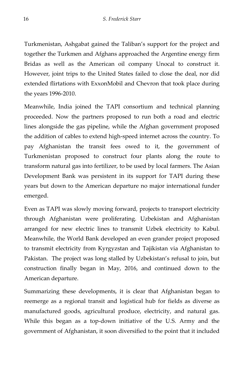Turkmenistan, Ashgabat gained the Taliban's support for the project and together the Turkmen and Afghans approached the Argentine energy firm Bridas as well as the American oil company Unocal to construct it. However, joint trips to the United States failed to close the deal, nor did extended flirtations with ExxonMobil and Chevron that took place during the years 1996-2010.

Meanwhile, India joined the TAPI consortium and technical planning proceeded. Now the partners proposed to run both a road and electric lines alongside the gas pipeline, while the Afghan government proposed the addition of cables to extend high-speed internet across the country. To pay Afghanistan the transit fees owed to it, the government of Turkmenistan proposed to construct four plants along the route to transform natural gas into fertilizer, to be used by local farmers. The Asian Development Bank was persistent in its support for TAPI during these years but down to the American departure no major international funder emerged.

Even as TAPI was slowly moving forward, projects to transport electricity through Afghanistan were proliferating. Uzbekistan and Afghanistan arranged for new electric lines to transmit Uzbek electricity to Kabul. Meanwhile, the World Bank developed an even grander project proposed to transmit electricity from Kyrgyzstan and Tajikistan via Afghanistan to Pakistan. The project was long stalled by Uzbekistan's refusal to join, but construction finally began in May, 2016, and continued down to the American departure.

Summarizing these developments, it is clear that Afghanistan began to reemerge as a regional transit and logistical hub for fields as diverse as manufactured goods, agricultural produce, electricity, and natural gas. While this began as a top-down initiative of the U.S. Army and the government of Afghanistan, it soon diversified to the point that it included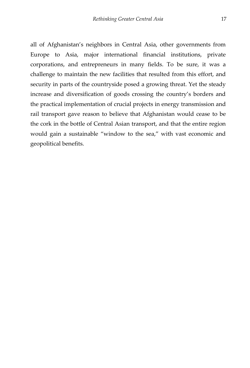all of Afghanistan's neighbors in Central Asia, other governments from Europe to Asia, major international financial institutions, private corporations, and entrepreneurs in many fields. To be sure, it was a challenge to maintain the new facilities that resulted from this effort, and security in parts of the countryside posed a growing threat. Yet the steady increase and diversification of goods crossing the country's borders and the practical implementation of crucial projects in energy transmission and rail transport gave reason to believe that Afghanistan would cease to be the cork in the bottle of Central Asian transport, and that the entire region would gain a sustainable "window to the sea," with vast economic and geopolitical benefits.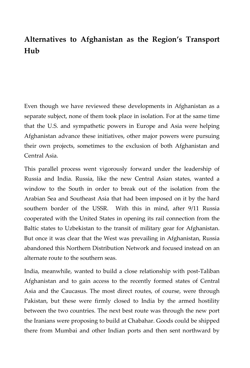## <span id="page-19-0"></span>**Alternatives to Afghanistan as the Region's Transport Hub**

Even though we have reviewed these developments in Afghanistan as a separate subject, none of them took place in isolation. For at the same time that the U.S. and sympathetic powers in Europe and Asia were helping Afghanistan advance these initiatives, other major powers were pursuing their own projects, sometimes to the exclusion of both Afghanistan and Central Asia.

This parallel process went vigorously forward under the leadership of Russia and India. Russia, like the new Central Asian states, wanted a window to the South in order to break out of the isolation from the Arabian Sea and Southeast Asia that had been imposed on it by the hard southern border of the USSR. With this in mind, after 9/11 Russia cooperated with the United States in opening its rail connection from the Baltic states to Uzbekistan to the transit of military gear for Afghanistan. But once it was clear that the West was prevailing in Afghanistan, Russia abandoned this Northern Distribution Network and focused instead on an alternate route to the southern seas.

India, meanwhile, wanted to build a close relationship with post-Taliban Afghanistan and to gain access to the recently formed states of Central Asia and the Caucasus. The most direct routes, of course, were through Pakistan, but these were firmly closed to India by the armed hostility between the two countries. The next best route was through the new port the Iranians were proposing to build at Chabahar. Goods could be shipped there from Mumbai and other Indian ports and then sent northward by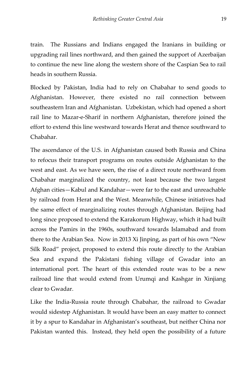train. The Russians and Indians engaged the Iranians in building or upgrading rail lines northward, and then gained the support of Azerbaijan to continue the new line along the western shore of the Caspian Sea to rail heads in southern Russia.

Blocked by Pakistan, India had to rely on Chabahar to send goods to Afghanistan. However, there existed no rail connection between southeastern Iran and Afghanistan. Uzbekistan, which had opened a short rail line to Mazar-e-Sharif in northern Afghanistan, therefore joined the effort to extend this line westward towards Herat and thence southward to Chabahar.

The ascendance of the U.S. in Afghanistan caused both Russia and China to refocus their transport programs on routes outside Afghanistan to the west and east. As we have seen, the rise of a direct route northward from Chabahar marginalized the country, not least because the two largest Afghan cities—Kabul and Kandahar—were far to the east and unreachable by railroad from Herat and the West. Meanwhile, Chinese initiatives had the same effect of marginalizing routes through Afghanistan. Beijing had long since proposed to extend the Karakorum Highway, which it had built across the Pamirs in the 1960s, southward towards Islamabad and from there to the Arabian Sea. Now in 2013 Xi Jinping, as part of his own "New Silk Road" project, proposed to extend this route directly to the Arabian Sea and expand the Pakistani fishing village of Gwadar into an international port. The heart of this extended route was to be a new railroad line that would extend from Urumqi and Kashgar in Xinjiang clear to Gwadar.

Like the India-Russia route through Chabahar, the railroad to Gwadar would sidestep Afghanistan. It would have been an easy matter to connect it by a spur to Kandahar in Afghanistan's southeast, but neither China nor Pakistan wanted this. Instead, they held open the possibility of a future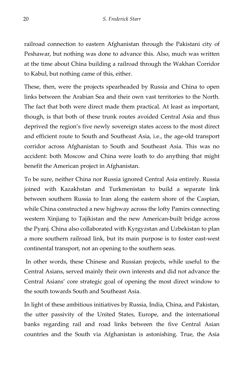railroad connection to eastern Afghanistan through the Pakistani city of Peshawar, but nothing was done to advance this. Also, much was written at the time about China building a railroad through the Wakhan Corridor to Kabul, but nothing came of this, either.

These, then, were the projects spearheaded by Russia and China to open links between the Arabian Sea and their own vast territories to the North. The fact that both were direct made them practical. At least as important, though, is that both of these trunk routes avoided Central Asia and thus deprived the region's five newly sovereign states access to the most direct and efficient route to South and Southeast Asia, i.e., the age-old transport corridor across Afghanistan to South and Southeast Asia. This was no accident: both Moscow and China were loath to do anything that might benefit the American project in Afghanistan.

To be sure, neither China nor Russia ignored Central Asia entirely. Russia joined with Kazakhstan and Turkmenistan to build a separate link between southern Russia to Iran along the eastern shore of the Caspian, while China constructed a new highway across the lofty Pamirs connecting western Xinjiang to Tajikistan and the new American-built bridge across the Pyanj. China also collaborated with Kyrgyzstan and Uzbekistan to plan a more southern railroad link, but its main purpose is to foster east-west continental transport, not an opening to the southern seas.

In other words, these Chinese and Russian projects, while useful to the Central Asians, served mainly their own interests and did not advance the Central Asians' core strategic goal of opening the most direct window to the south towards South and Southeast Asia.

In light of these ambitious initiatives by Russia, India, China, and Pakistan, the utter passivity of the United States, Europe, and the international banks regarding rail and road links between the five Central Asian countries and the South via Afghanistan is astonishing. True, the Asia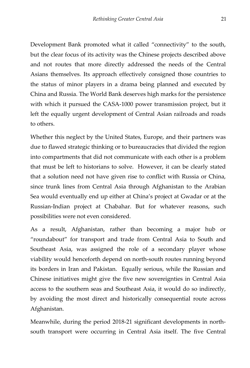Development Bank promoted what it called "connectivity" to the south, but the clear focus of its activity was the Chinese projects described above and not routes that more directly addressed the needs of the Central Asians themselves. Its approach effectively consigned those countries to the status of minor players in a drama being planned and executed by China and Russia. The World Bank deserves high marks for the persistence with which it pursued the CASA-1000 power transmission project, but it left the equally urgent development of Central Asian railroads and roads to others.

Whether this neglect by the United States, Europe, and their partners was due to flawed strategic thinking or to bureaucracies that divided the region into compartments that did not communicate with each other is a problem that must be left to historians to solve. However, it can be clearly stated that a solution need not have given rise to conflict with Russia or China, since trunk lines from Central Asia through Afghanistan to the Arabian Sea would eventually end up either at China's project at Gwadar or at the Russian-Indian project at Chabahar. But for whatever reasons, such possibilities were not even considered.

As a result, Afghanistan, rather than becoming a major hub or "roundabout" for transport and trade from Central Asia to South and Southeast Asia, was assigned the role of a secondary player whose viability would henceforth depend on north-south routes running beyond its borders in Iran and Pakistan. Equally serious, while the Russian and Chinese initiatives might give the five new sovereignties in Central Asia access to the southern seas and Southeast Asia, it would do so indirectly, by avoiding the most direct and historically consequential route across Afghanistan.

Meanwhile, during the period 2018-21 significant developments in northsouth transport were occurring in Central Asia itself. The five Central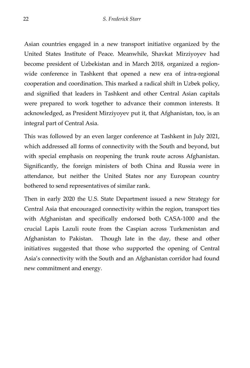Asian countries engaged in a new transport initiative organized by the United States Institute of Peace. Meanwhile, Shavkat Mirziyoyev had become president of Uzbekistan and in March 2018, organized a regionwide conference in Tashkent that opened a new era of intra-regional cooperation and coordination. This marked a radical shift in Uzbek policy, and signified that leaders in Tashkent and other Central Asian capitals were prepared to work together to advance their common interests. It acknowledged, as President Mirziyoyev put it, that Afghanistan, too, is an integral part of Central Asia.

This was followed by an even larger conference at Tashkent in July 2021, which addressed all forms of connectivity with the South and beyond, but with special emphasis on reopening the trunk route across Afghanistan. Significantly, the foreign ministers of both China and Russia were in attendance, but neither the United States nor any European country bothered to send representatives of similar rank.

Then in early 2020 the U.S. State Department issued a new Strategy for Central Asia that encouraged connectivity within the region, transport ties with Afghanistan and specifically endorsed both CASA-1000 and the crucial Lapis Lazuli route from the Caspian across Turkmenistan and Afghanistan to Pakistan. Though late in the day, these and other initiatives suggested that those who supported the opening of Central Asia's connectivity with the South and an Afghanistan corridor had found new commitment and energy.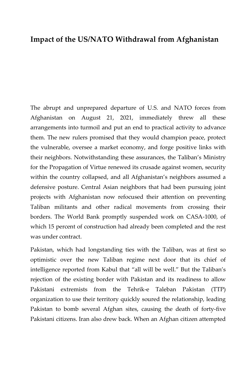### <span id="page-24-0"></span>**Impact of the US/NATO Withdrawal from Afghanistan**

The abrupt and unprepared departure of U.S. and NATO forces from Afghanistan on August 21, 2021, immediately threw all these arrangements into turmoil and put an end to practical activity to advance them. The new rulers promised that they would champion peace, protect the vulnerable, oversee a market economy, and forge positive links with their neighbors. Notwithstanding these assurances, the Taliban's Ministry for the Propagation of Virtue renewed its crusade against women, security within the country collapsed, and all Afghanistan's neighbors assumed a defensive posture. Central Asian neighbors that had been pursuing joint projects with Afghanistan now refocused their attention on preventing Taliban militants and other radical movements from crossing their borders. The World Bank promptly suspended work on CASA-1000, of which 15 percent of construction had already been completed and the rest was under contract.

Pakistan, which had longstanding ties with the Taliban, was at first so optimistic over the new Taliban regime next door that its chief of intelligence reported from Kabul that "all will be well." But the Taliban's rejection of the existing border with Pakistan and its readiness to allow Pakistani extremists from the Tehrik-e Taleban Pakistan (TTP) organization to use their territory quickly soured the relationship, leading Pakistan to bomb several Afghan sites, causing the death of forty-five Pakistani citizens. Iran also drew back. When an Afghan citizen attempted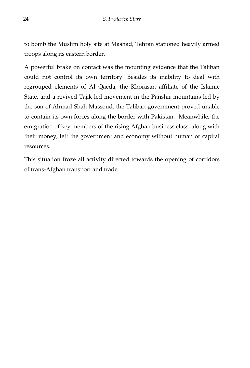to bomb the Muslim holy site at Mashad, Tehran stationed heavily armed troops along its eastern border.

A powerful brake on contact was the mounting evidence that the Taliban could not control its own territory. Besides its inability to deal with regrouped elements of Al Qaeda, the Khorasan affiliate of the Islamic State, and a revived Tajik-led movement in the Panshir mountains led by the son of Ahmad Shah Massoud, the Taliban government proved unable to contain its own forces along the border with Pakistan. Meanwhile, the emigration of key members of the rising Afghan business class, along with their money, left the government and economy without human or capital resources.

This situation froze all activity directed towards the opening of corridors of trans-Afghan transport and trade.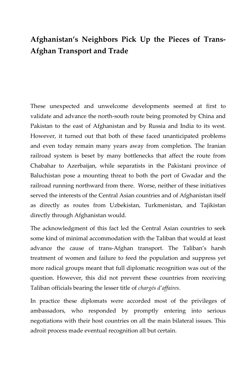## <span id="page-26-0"></span>**Afghanistan's Neighbors Pick Up the Pieces of Trans-Afghan Transport and Trade**

These unexpected and unwelcome developments seemed at first to validate and advance the north-south route being promoted by China and Pakistan to the east of Afghanistan and by Russia and India to its west. However, it turned out that both of these faced unanticipated problems and even today remain many years away from completion. The Iranian railroad system is beset by many bottlenecks that affect the route from Chabahar to Azerbaijan, while separatists in the Pakistani province of Baluchistan pose a mounting threat to both the port of Gwadar and the railroad running northward from there. Worse, neither of these initiatives served the interests of the Central Asian countries and of Afghanistan itself as directly as routes from Uzbekistan, Turkmenistan, and Tajikistan directly through Afghanistan would.

The acknowledgment of this fact led the Central Asian countries to seek some kind of minimal accommodation with the Taliban that would at least advance the cause of trans-Afghan transport. The Taliban's harsh treatment of women and failure to feed the population and suppress yet more radical groups meant that full diplomatic recognition was out of the question. However, this did not prevent these countries from receiving Taliban officials bearing the lesser title of *chargés d'affaires*.

In practice these diplomats were accorded most of the privileges of ambassadors, who responded by promptly entering into serious negotiations with their host countries on all the main bilateral issues. This adroit process made eventual recognition all but certain.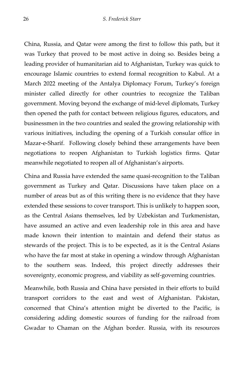China, Russia, and Qatar were among the first to follow this path, but it was Turkey that proved to be most active in doing so. Besides being a leading provider of humanitarian aid to Afghanistan, Turkey was quick to encourage Islamic countries to extend formal recognition to Kabul. At a March 2022 meeting of the Antalya Diplomacy Forum, Turkey's foreign minister called directly for other countries to recognize the Taliban government. Moving beyond the exchange of mid-level diplomats, Turkey then opened the path for contact between religious figures, educators, and businessmen in the two countries and sealed the growing relationship with various initiatives, including the opening of a Turkish consular office in Mazar-e-Sharif. Following closely behind these arrangements have been negotiations to reopen Afghanistan to Turkish logistics firms. Qatar meanwhile negotiated to reopen all of Afghanistan's airports.

China and Russia have extended the same quasi-recognition to the Taliban government as Turkey and Qatar. Discussions have taken place on a number of areas but as of this writing there is no evidence that they have extended these sessions to cover transport. This is unlikely to happen soon, as the Central Asians themselves, led by Uzbekistan and Turkmenistan, have assumed an active and even leadership role in this area and have made known their intention to maintain and defend their status as stewards of the project. This is to be expected, as it is the Central Asians who have the far most at stake in opening a window through Afghanistan to the southern seas. Indeed, this project directly addresses their sovereignty, economic progress, and viability as self-governing countries.

Meanwhile, both Russia and China have persisted in their efforts to build transport corridors to the east and west of Afghanistan. Pakistan, concerned that China's attention might be diverted to the Pacific, is considering adding domestic sources of funding for the railroad from Gwadar to Chaman on the Afghan border. Russia, with its resources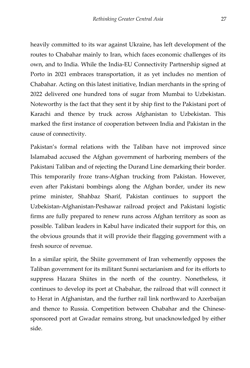heavily committed to its war against Ukraine, has left development of the routes to Chabahar mainly to Iran, which faces economic challenges of its own, and to India. While the India-EU Connectivity Partnership signed at Porto in 2021 embraces transportation, it as yet includes no mention of Chabahar. Acting on this latest initiative, Indian merchants in the spring of 2022 delivered one hundred tons of sugar from Mumbai to Uzbekistan. Noteworthy is the fact that they sent it by ship first to the Pakistani port of Karachi and thence by truck across Afghanistan to Uzbekistan. This marked the first instance of cooperation between India and Pakistan in the cause of connectivity.

Pakistan's formal relations with the Taliban have not improved since Islamabad accused the Afghan government of harboring members of the Pakistani Taliban and of rejecting the Durand Line demarking their border. This temporarily froze trans-Afghan trucking from Pakistan. However, even after Pakistani bombings along the Afghan border, under its new prime minister, Shahbaz Sharif, Pakistan continues to support the Uzbekistan-Afghanistan-Peshawar railroad project and Pakistani logistic firms are fully prepared to renew runs across Afghan territory as soon as possible. Taliban leaders in Kabul have indicated their support for this, on the obvious grounds that it will provide their flagging government with a fresh source of revenue.

In a similar spirit, the Shiite government of Iran vehemently opposes the Taliban government for its militant Sunni sectarianism and for its efforts to suppress Hazara Shiites in the north of the country. Nonetheless, it continues to develop its port at Chabahar, the railroad that will connect it to Herat in Afghanistan, and the further rail link northward to Azerbaijan and thence to Russia. Competition between Chabahar and the Chinesesponsored port at Gwadar remains strong, but unacknowledged by either side.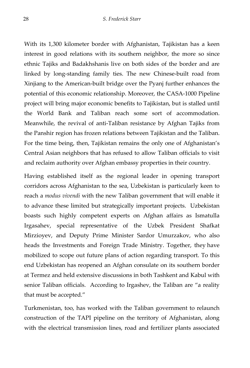With its 1,300 kilometer border with Afghanistan, Tajikistan has a keen interest in good relations with its southern neighbor, the more so since ethnic Tajiks and Badakhshanis live on both sides of the border and are linked by long-standing family ties. The new Chinese-built road from Xinjiang to the American-built bridge over the Pyanj further enhances the potential of this economic relationship. Moreover, the CASA-1000 Pipeline project will bring major economic benefits to Tajikistan, but is stalled until the World Bank and Taliban reach some sort of accommodation. Meanwhile, the revival of anti-Taliban resistance by Afghan Tajiks from the Panshir region has frozen relations between Tajikistan and the Taliban. For the time being, then, Tajikistan remains the only one of Afghanistan's Central Asian neighbors that has refused to allow Taliban officials to visit and reclaim authority over Afghan embassy properties in their country.

Having established itself as the regional leader in opening transport corridors across Afghanistan to the sea, Uzbekistan is particularly keen to reach a *modus vivendi* with the new Taliban government that will enable it to advance these limited but strategically important projects. Uzbekistan boasts such highly competent experts on Afghan affairs as Ismatulla Irgasahev, special representative of the Uzbek President Shafkat Mirzioyev, and Deputy Prime Minister Sardor Umurzakov, who also heads the Investments and Foreign Trade Ministry. Together, they have mobilized to scope out future plans of action regarding transport. To this end Uzbekistan has reopened an Afghan consulate on its southern border at Termez and held extensive discussions in both Tashkent and Kabul with senior Taliban officials. According to Irgashev, the Taliban are "a reality that must be accepted."

Turkmenistan, too, has worked with the Taliban government to relaunch construction of the TAPI pipeline on the territory of Afghanistan, along with the electrical transmission lines, road and fertilizer plants associated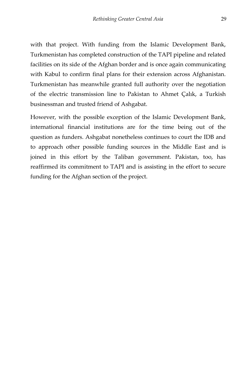with that project. With funding from the Islamic Development Bank, Turkmenistan has completed construction of the TAPI pipeline and related facilities on its side of the Afghan border and is once again communicating with Kabul to confirm final plans for their extension across Afghanistan. Turkmenistan has meanwhile granted full authority over the negotiation of the electric transmission line to Pakistan to Ahmet Çalık, a Turkish businessman and trusted friend of Ashgabat.

However, with the possible exception of the Islamic Development Bank, international financial institutions are for the time being out of the question as funders. Ashgabat nonetheless continues to court the IDB and to approach other possible funding sources in the Middle East and is joined in this effort by the Taliban government. Pakistan, too, has reaffirmed its commitment to TAPI and is assisting in the effort to secure funding for the Afghan section of the project.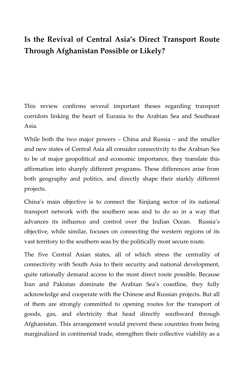# <span id="page-31-0"></span>**Is the Revival of Central Asia's Direct Transport Route Through Afghanistan Possible or Likely?**

This review confirms several important theses regarding transport corridors linking the heart of Eurasia to the Arabian Sea and Southeast Asia.

While both the two major powers – China and Russia – and the smaller and new states of Central Asia all consider connectivity to the Arabian Sea to be of major geopolitical and economic importance, they translate this affirmation into sharply different programs. These differences arise from both geography and politics, and directly shape their starkly different projects.

China's main objective is to connect the Xinjiang sector of its national transport network with the southern seas and to do so in a way that advances its influence and control over the Indian Ocean. Russia's objective, while similar, focuses on connecting the western regions of its vast territory to the southern seas by the politically most secure route.

The five Central Asian states, all of which stress the centrality of connectivity with South Asia to their security and national development, quite rationally demand access to the most direct route possible. Because Iran and Pakistan dominate the Arabian Sea's coastline, they fully acknowledge and cooperate with the Chinese and Russian projects. But all of them are strongly committed to opening routes for the transport of goods, gas, and electricity that head directly southward through Afghanistan. This arrangement would prevent these countries from being marginalized in continental trade, strengthen their collective viability as a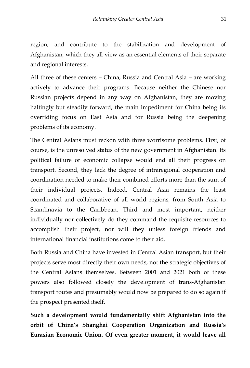region, and contribute to the stabilization and development of Afghanistan, which they all view as an essential elements of their separate and regional interests.

All three of these centers – China, Russia and Central Asia – are working actively to advance their programs. Because neither the Chinese nor Russian projects depend in any way on Afghanistan, they are moving haltingly but steadily forward, the main impediment for China being its overriding focus on East Asia and for Russia being the deepening problems of its economy.

The Central Asians must reckon with three worrisome problems. First, of course, is the unresolved status of the new government in Afghanistan. Its political failure or economic collapse would end all their progress on transport. Second, they lack the degree of intraregional cooperation and coordination needed to make their combined efforts more than the sum of their individual projects. Indeed, Central Asia remains the least coordinated and collaborative of all world regions, from South Asia to Scandinavia to the Caribbean. Third and most important, neither individually nor collectively do they command the requisite resources to accomplish their project, nor will they unless foreign friends and international financial institutions come to their aid.

Both Russia and China have invested in Central Asian transport, but their projects serve most directly their own needs, not the strategic objectives of the Central Asians themselves. Between 2001 and 2021 both of these powers also followed closely the development of trans-Afghanistan transport routes and presumably would now be prepared to do so again if the prospect presented itself.

**Such a development would fundamentally shift Afghanistan into the orbit of China's Shanghai Cooperation Organization and Russia's Eurasian Economic Union. Of even greater moment, it would leave all**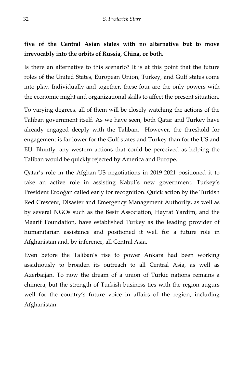#### **five of the Central Asian states with no alternative but to move irrevocably into the orbits of Russia, China, or both.**

Is there an alternative to this scenario? It is at this point that the future roles of the United States, European Union, Turkey, and Gulf states come into play. Individually and together, these four are the only powers with the economic might and organizational skills to affect the present situation.

To varying degrees, all of them will be closely watching the actions of the Taliban government itself. As we have seen, both Qatar and Turkey have already engaged deeply with the Taliban. However, the threshold for engagement is far lower for the Gulf states and Turkey than for the US and EU. Bluntly, any western actions that could be perceived as helping the Taliban would be quickly rejected by America and Europe.

Qatar's role in the Afghan-US negotiations in 2019-2021 positioned it to take an active role in assisting Kabul's new government. Turkey's President Erdoğan called early for recognition. Quick action by the Turkish Red Crescent, Disaster and Emergency Management Authority, as well as by several NGOs such as the Besir Association, Hayrat Yardim, and the Maarif Foundation, have established Turkey as the leading provider of humanitarian assistance and positioned it well for a future role in Afghanistan and, by inference, all Central Asia.

Even before the Taliban's rise to power Ankara had been working assiduously to broaden its outreach to all Central Asia, as well as Azerbaijan. To now the dream of a union of Turkic nations remains a chimera, but the strength of Turkish business ties with the region augurs well for the country's future voice in affairs of the region, including Afghanistan.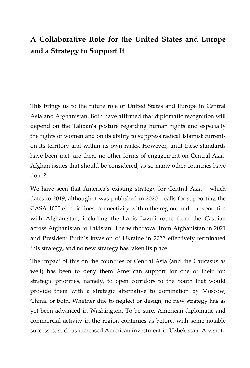## <span id="page-34-0"></span>**A Collaborative Role for the United States and Europe and a Strategy to Support It**

This brings us to the future role of United States and Europe in Central Asia and Afghanistan. Both have affirmed that diplomatic recognition will depend on the Taliban's posture regarding human rights and especially the rights of women and on its ability to suppress radical Islamist currents on its territory and within its own ranks. However, until these standards have been met, are there no other forms of engagement on Central Asia-Afghan issues that should be considered, as so many other countries have done?

We have seen that America's existing strategy for Central Asia – which dates to 2019, although it was published in 2020 – calls for supporting the CASA-1000 electric lines, connectivity within the region, and transport ties with Afghanistan, including the Lapis Lazuli route from the Caspian across Afghanistan to Pakistan. The withdrawal from Afghanistan in 2021 and President Putin's invasion of Ukraine in 2022 effectively terminated this strategy, and no new strategy has taken its place.

The impact of this on the countries of Central Asia (and the Caucasus as well) has been to deny them American support for one of their top strategic priorities, namely, to open corridors to the South that would provide them with a strategic alternative to domination by Moscow, China, or both. Whether due to neglect or design, no new strategy has as yet been advanced in Washington. To be sure, American diplomatic and commercial activity in the region continues as before, with some notable successes, such as increased American investment in Uzbekistan. A visit to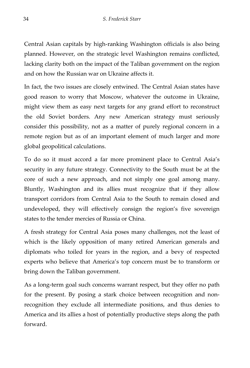Central Asian capitals by high-ranking Washington officials is also being planned. However, on the strategic level Washington remains conflicted, lacking clarity both on the impact of the Taliban government on the region and on how the Russian war on Ukraine affects it.

In fact, the two issues are closely entwined. The Central Asian states have good reason to worry that Moscow, whatever the outcome in Ukraine, might view them as easy next targets for any grand effort to reconstruct the old Soviet borders. Any new American strategy must seriously consider this possibility, not as a matter of purely regional concern in a remote region but as of an important element of much larger and more global geopolitical calculations.

To do so it must accord a far more prominent place to Central Asia's security in any future strategy. Connectivity to the South must be at the core of such a new approach, and not simply one goal among many. Bluntly, Washington and its allies must recognize that if they allow transport corridors from Central Asia to the South to remain closed and undeveloped, they will effectively consign the region's five sovereign states to the tender mercies of Russia or China.

A fresh strategy for Central Asia poses many challenges, not the least of which is the likely opposition of many retired American generals and diplomats who toiled for years in the region, and a bevy of respected experts who believe that America's top concern must be to transform or bring down the Taliban government.

As a long-term goal such concerns warrant respect, but they offer no path for the present. By posing a stark choice between recognition and nonrecognition they exclude all intermediate positions, and thus denies to America and its allies a host of potentially productive steps along the path forward.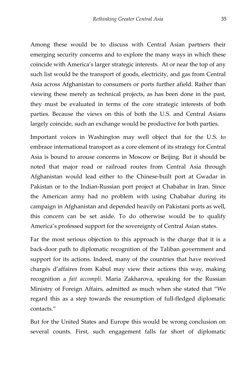Among these would be to discuss with Central Asian partners their emerging security concerns and to explore the many ways in which these coincide with America's larger strategic interests. At or near the top of any such list would be the transport of goods, electricity, and gas from Central Asia across Afghanistan to consumers or ports further afield. Rather than viewing these merely as technical projects, as has been done in the past, they must be evaluated in terms of the core strategic interests of both parties. Because the views on this of both the U.S. and Central Asians largely coincide, such an exchange would be productive for both parties.

Important voices in Washington may well object that for the U.S. to embrace international transport as a core element of its strategy for Central Asia is bound to arouse concerns in Moscow or Beijing. But it should be noted that major road or railroad routes from Central Asia through Afghanistan would lead either to the Chinese-built port at Gwadar in Pakistan or to the Indian-Russian port project at Chabahar in Iran. Since the American army had no problem with using Chabahar during its campaign in Afghanistan and depended heavily on Pakistani ports as well, this concern can be set aside. To do otherwise would be to qualify America's professed support for the sovereignty of Central Asian states.

Far the most serious objection to this approach is the charge that it is a back-door path to diplomatic recognition of the Taliban government and support for its actions. Indeed, many of the countries that have received chargés d'affaires from Kabul may view their actions this way, making recognition a *fait accompli*. Maria Zakharova, speaking for the Russian Ministry of Foreign Affairs, admitted as much when she stated that "We regard this as a step towards the resumption of full-fledged diplomatic contacts."

But for the United States and Europe this would be wrong conclusion on several counts. First, such engagement falls far short of diplomatic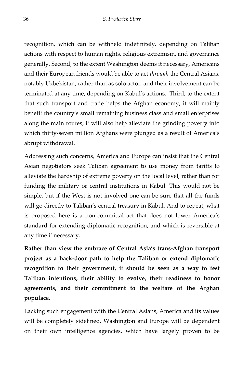recognition, which can be withheld indefinitely, depending on Taliban actions with respect to human rights, religious extremism, and governance generally. Second, to the extent Washington deems it necessary, Americans and their European friends would be able to act *through* the Central Asians, notably Uzbekistan, rather than as solo actor, and their involvement can be terminated at any time, depending on Kabul's actions. Third, to the extent that such transport and trade helps the Afghan economy, it will mainly benefit the country's small remaining business class and small enterprises along the main routes; it will also help alleviate the grinding poverty into which thirty-seven million Afghans were plunged as a result of America's abrupt withdrawal.

Addressing such concerns, America and Europe can insist that the Central Asian negotiators seek Taliban agreement to use money from tariffs to alleviate the hardship of extreme poverty on the local level, rather than for funding the military or central institutions in Kabul. This would not be simple, but if the West is not involved one can be sure that all the funds will go directly to Taliban's central treasury in Kabul. And to repeat, what is proposed here is a non-committal act that does not lower America's standard for extending diplomatic recognition, and which is reversible at any time if necessary.

**Rather than view the embrace of Central Asia's trans-Afghan transport project as a back-door path to help the Taliban or extend diplomatic recognition to their government, it should be seen as a way to test Taliban intentions, their ability to evolve, their readiness to honor agreements, and their commitment to the welfare of the Afghan populace.** 

Lacking such engagement with the Central Asians, America and its values will be completely sidelined. Washington and Europe will be dependent on their own intelligence agencies, which have largely proven to be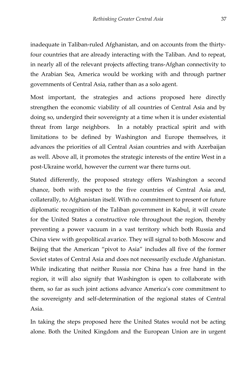inadequate in Taliban-ruled Afghanistan, and on accounts from the thirtyfour countries that are already interacting with the Taliban. And to repeat, in nearly all of the relevant projects affecting trans-Afghan connectivity to the Arabian Sea, America would be working with and through partner governments of Central Asia, rather than as a solo agent.

Most important, the strategies and actions proposed here directly strengthen the economic viability of all countries of Central Asia and by doing so, undergird their sovereignty at a time when it is under existential threat from large neighbors. In a notably practical spirit and with limitations to be defined by Washington and Europe themselves, it advances the priorities of all Central Asian countries and with Azerbaijan as well. Above all, it promotes the strategic interests of the entire West in a post-Ukraine world, however the current war there turns out.

Stated differently, the proposed strategy offers Washington a second chance, both with respect to the five countries of Central Asia and, collaterally, to Afghanistan itself. With no commitment to present or future diplomatic recognition of the Taliban government in Kabul, it will create for the United States a constructive role throughout the region, thereby preventing a power vacuum in a vast territory which both Russia and China view with geopolitical avarice. They will signal to both Moscow and Beijing that the American "pivot to Asia" includes all five of the former Soviet states of Central Asia and does not necessarily exclude Afghanistan. While indicating that neither Russia nor China has a free hand in the region, it will also signify that Washington is open to collaborate with them, so far as such joint actions advance America's core commitment to the sovereignty and self-determination of the regional states of Central Asia.

In taking the steps proposed here the United States would not be acting alone. Both the United Kingdom and the European Union are in urgent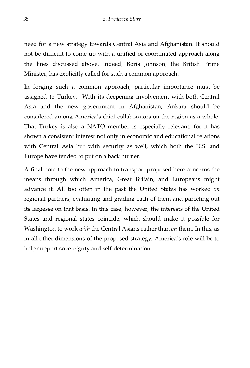need for a new strategy towards Central Asia and Afghanistan. It should not be difficult to come up with a unified or coordinated approach along the lines discussed above. Indeed, Boris Johnson, the British Prime Minister, has explicitly called for such a common approach.

In forging such a common approach, particular importance must be assigned to Turkey. With its deepening involvement with both Central Asia and the new government in Afghanistan, Ankara should be considered among America's chief collaborators on the region as a whole. That Turkey is also a NATO member is especially relevant, for it has shown a consistent interest not only in economic and educational relations with Central Asia but with security as well, which both the U.S. and Europe have tended to put on a back burner.

A final note to the new approach to transport proposed here concerns the means through which America, Great Britain, and Europeans might advance it. All too often in the past the United States has worked *on* regional partners, evaluating and grading each of them and parceling out its largesse on that basis. In this case, however, the interests of the United States and regional states coincide, which should make it possible for Washington to work *with* the Central Asians rather than *on* them. In this, as in all other dimensions of the proposed strategy, America's role will be to help support sovereignty and self-determination.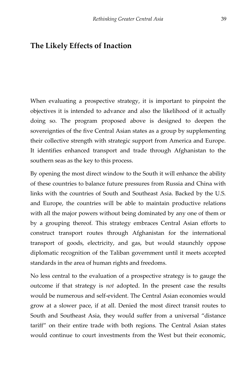#### <span id="page-40-0"></span>**The Likely Effects of Inaction**

When evaluating a prospective strategy, it is important to pinpoint the objectives it is intended to advance and also the likelihood of it actually doing so. The program proposed above is designed to deepen the sovereignties of the five Central Asian states as a group by supplementing their collective strength with strategic support from America and Europe. It identifies enhanced transport and trade through Afghanistan to the southern seas as the key to this process.

By opening the most direct window to the South it will enhance the ability of these countries to balance future pressures from Russia and China with links with the countries of South and Southeast Asia. Backed by the U.S. and Europe, the countries will be able to maintain productive relations with all the major powers without being dominated by any one of them or by a grouping thereof. This strategy embraces Central Asian efforts to construct transport routes through Afghanistan for the international transport of goods, electricity, and gas, but would staunchly oppose diplomatic recognition of the Taliban government until it meets accepted standards in the area of human rights and freedoms.

No less central to the evaluation of a prospective strategy is to gauge the outcome if that strategy is *not* adopted. In the present case the results would be numerous and self-evident. The Central Asian economies would grow at a slower pace, if at all. Denied the most direct transit routes to South and Southeast Asia, they would suffer from a universal "distance tariff" on their entire trade with both regions. The Central Asian states would continue to court investments from the West but their economic,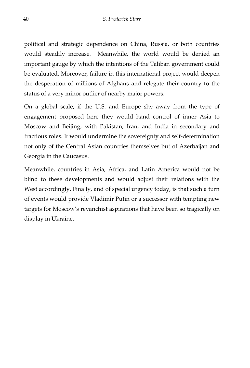political and strategic dependence on China, Russia, or both countries would steadily increase. Meanwhile, the world would be denied an important gauge by which the intentions of the Taliban government could be evaluated. Moreover, failure in this international project would deepen the desperation of millions of Afghans and relegate their country to the status of a very minor outlier of nearby major powers.

On a global scale, if the U.S. and Europe shy away from the type of engagement proposed here they would hand control of inner Asia to Moscow and Beijing, with Pakistan, Iran, and India in secondary and fractious roles. It would undermine the sovereignty and self-determination not only of the Central Asian countries themselves but of Azerbaijan and Georgia in the Caucasus.

Meanwhile, countries in Asia, Africa, and Latin America would not be blind to these developments and would adjust their relations with the West accordingly. Finally, and of special urgency today, is that such a turn of events would provide Vladimir Putin or a successor with tempting new targets for Moscow's revanchist aspirations that have been so tragically on display in Ukraine.